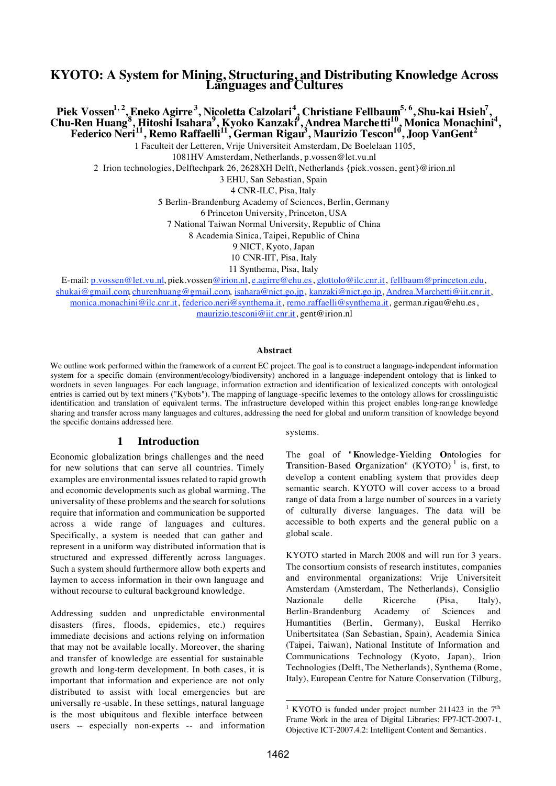# **KYOTO: A System for Mining, Structuring, and Distributing Knowledge Across Languages and Cultures**

Piek Vossen<sup>1, 2</sup>, Eneko Agirre<sup>3</sup>, Nicoletta Calzolari<sup>4</sup>, Christiane Fellbaum<sup>5, 6</sup>, Shu-kai Hsieh<sup>7</sup>, Chu-Ren Huang<sup>8</sup>, Hitoshi Isahara<sup>9</sup>, Kyoko Kanzaki<sup>9</sup>, Andrea Marchetti<sup>10</sup>, Monica Monachini<sup>4</sup>, **Federico Neri11, Remo Raffaelli11, German Rigau3 , Maurizio Tescon10, Joop VanGent2**

1 Faculteit der Letteren, Vrije Universiteit Amsterdam, De Boelelaan 1105,

1081HV Amsterdam, Netherlands, p.vossen@let.vu.nl

2 Irion technologies, Delftechpark 26, 2628XH Delft, Netherlands {piek.vossen, gent}@irion.nl

3 EHU, San Sebastian, Spain

4 CNR-ILC, Pisa, Italy

5 Berlin-Brandenburg Academy of Sciences, Berlin, Germany

6 Princeton University, Princeton, USA

7 National Taiwan Normal University, Republic of China

8 Academia Sinica, Taipei, Republic of China

9 NICT, Kyoto, Japan

10 CNR-IIT, Pisa, Italy 11 Synthema, Pisa, Italy

E-mail: p.vossen@let.vu.nl, piek.vossen@irion.nl, e.agirre@ehu.es, glottolo@ilc.cnr.it, fellbaum@princeton.edu, shukai@gmail.com, churenhuang@gmail.com, isahara@nict.go.jp, kanzaki@nict.go.jp, Andrea.Marchetti@iit.cnr.it, monica.monachini@ilc.cnr.it, federico.neri@synthema.it, remo.raffaelli@synthema.it, german.rigau@ehu.es, maurizio.tesconi@iit.cnr.it, gent@irion.nl

#### **Abstract**

We outline work performed within the framework of a current EC project. The goal is to construct a language-independent information system for a specific domain (environment/ecology/biodiversity) anchored in a language-independent ontology that is linked to wordnets in seven languages. For each language, information extraction and identification of lexicalized concepts with ontological entries is carried out by text miners ("Kybots"). The mapping of language-specific lexemes to the ontology allows for crosslinguistic identification and translation of equivalent terms. The infrastructure developed within this project enables long-range knowledge sharing and transfer across many languages and cultures, addressing the need for global and uniform transition of knowledge beyond the specific domains addressed here.

#### **1 Introduction**

Economic globalization brings challenges and the need for new solutions that can serve all countries. Timely examples are environmental issues related to rapid growth and economic developments such as global warming. The universality of these problems and the search for solutions require that information and communication be supported across a wide range of languages and cultures. Specifically, a system is needed that can gather and represent in a uniform way distributed information that is structured and expressed differently across languages. Such a system should furthermore allow both experts and laymen to access information in their own language and without recourse to cultural background knowledge.

Addressing sudden and unpredictable environmental disasters (fires, floods, epidemics, etc.) requires immediate decisions and actions relying on information that may not be available locally. Moreover, the sharing and transfer of knowledge are essential for sustainable growth and long-term development. In both cases, it is important that information and experience are not only distributed to assist with local emergencies but are universally re -usable. In these settings, natural language is the most ubiquitous and flexible interface between users -- especially non-experts -- and information systems.

The goal of "**K**nowledge-**Y**ielding **O**ntologies for **Transition-Based Organization"** (KYOTO)<sup>1</sup> is, first, to develop a content enabling system that provides deep semantic search. KYOTO will cover access to a broad range of data from a large number of sources in a variety of culturally diverse languages. The data will be accessible to both experts and the general public on a global scale.

KYOTO started in March 2008 and will run for 3 years. The consortium consists of research institutes, companies and environmental organizations: Vrije Universiteit Amsterdam (Amsterdam, The Netherlands), Consiglio Nazionale delle Ricerche (Pisa, Italy), Berlin-Brandenburg Academy of Sciences and Humantities (Berlin, Germany), Euskal Herriko Unibertsitatea (San Sebastian, Spain), Academia Sinica (Taipei, Taiwan), National Institute of Information and Communications Technology (Kyoto, Japan), Irion Technologies (Delft, The Netherlands), Synthema (Rome, Italy), European Centre for Nature Conservation (Tilburg,

 $\frac{1}{1}$ <sup>1</sup> KYOTO is funded under project number 211423 in the  $7<sup>th</sup>$ Frame Work in the area of Digital Libraries: FP7-ICT-2007-1, Objective ICT-2007.4.2: Intelligent Content and Semantics.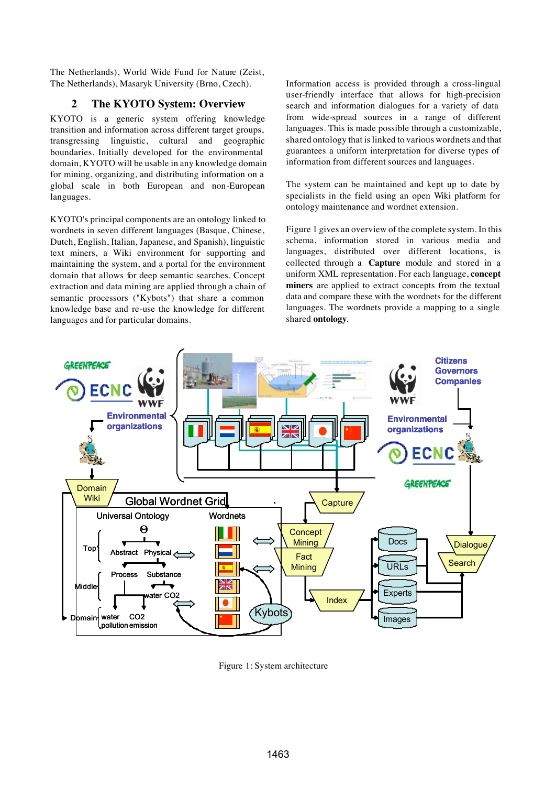The Netherlands), World Wide Fund for Nature (Zeist, The Netherlands), Masaryk University (Brno, Czech).

## **2 The KYOTO System: Overview**

KYOTO is a generic system offering knowledge transition and information across different target groups, transgressing linguistic, cultural and geographic boundaries. Initially developed for the environmental domain, KYOTO will be usable in any knowledge domain for mining, organizing, and distributing information on a global scale in both European and non-European languages.

KYOTO's principal components are an ontology linked to wordnets in seven different languages (Basque, Chinese, Dutch, English, Italian, Japanese, and Spanish), linguistic text miners, a Wiki environment for supporting and maintaining the system, and a portal for the environment domain that allows for deep semantic searches. Concept extraction and data mining are applied through a chain of semantic processors ("Kybots") that share a common knowledge base and re-use the knowledge for different languages and for particular domains.

Information access is provided through a cross-lingual user-friendly interface that allows for high-precision search and information dialogues for a variety of data from wide-spread sources in a range of different languages. This is made possible through a customizable, shared ontology that is linked to various wordnets and that guarantees a uniform interpretation for diverse types of information from different sources and languages.

The system can be maintained and kept up to date by specialists in the field using an open Wiki platform for ontology maintenance and wordnet extension.

Figure 1 gives an overview of the complete system. In this schema, information stored in various media and languages, distributed over different locations, is collected through a **Capture** module and stored in a uniform XML representation. For each language, **concept miners** are applied to extract concepts from the textual data and compare these with the wordnets for the different languages. The wordnets provide a mapping to a single shared **ontology**.



Figure 1: System architecture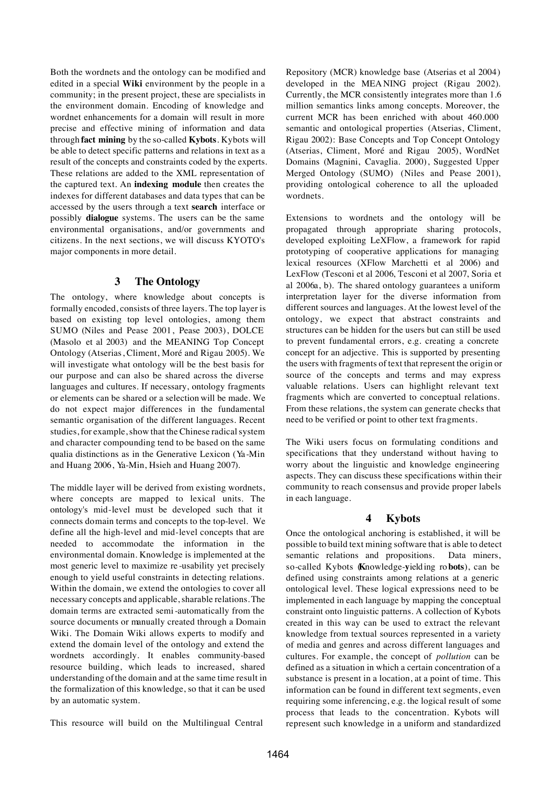Both the wordnets and the ontology can be modified and edited in a special **Wiki** environment by the people in a community; in the present project, these are specialists in the environment domain. Encoding of knowledge and wordnet enhancements for a domain will result in more precise and effective mining of information and data through **fact mining** by the so-called **Kybots**. Kybots will be able to detect specific patterns and relations in text as a result of the concepts and constraints coded by the experts. These relations are added to the XML representation of the captured text. An **indexing module** then creates the indexes for different databases and data types that can be accessed by the users through a text **search** interface or possibly **dialogue** systems. The users can be the same environmental organisations, and/or governments and citizens. In the next sections, we will discuss KYOTO's major components in more detail.

## **3 The Ontology**

The ontology, where knowledge about concepts is formally encoded, consists of three layers. The top layer is based on existing top level ontologies, among them SUMO (Niles and Pease 2001, Pease 2003), DOLCE (Masolo et al 2003) and the MEANING Top Concept Ontology (Atserias, Climent, Moré and Rigau 2005). We will investigate what ontology will be the best basis for our purpose and can also be shared across the diverse languages and cultures. If necessary, ontology fragments or elements can be shared or a selection will be made. We do not expect major differences in the fundamental semantic organisation of the different languages. Recent studies, for example, show that the Chinese radical system and character compounding tend to be based on the same qualia distinctions as in the Generative Lexicon (Ya-Min and Huang 2006, Ya-Min, Hsieh and Huang 2007).

The middle layer will be derived from existing wordnets, where concepts are mapped to lexical units. The ontology's mid-level must be developed such that it connects domain terms and concepts to the top-level. We define all the high-level and mid-level concepts that are needed to accommodate the information in the environmental domain. Knowledge is implemented at the most generic level to maximize re -usability yet precisely enough to yield useful constraints in detecting relations. Within the domain, we extend the ontologies to cover all necessary concepts and applicable, sharable relations.The domain terms are extracted semi-automatically from the source documents or manually created through a Domain Wiki. The Domain Wiki allows experts to modify and extend the domain level of the ontology and extend the wordnets accordingly. It enables community-based resource building, which leads to increased, shared understanding of the domain and at the same time result in the formalization of this knowledge, so that it can be used by an automatic system.

This resource will build on the Multilingual Central

Repository (MCR) knowledge base (Atserias et al 2004) developed in the MEA NING project (Rigau 2002). Currently, the MCR consistently integrates more than 1.6 million semantics links among concepts. Moreover, the current MCR has been enriched with about 460.000 semantic and ontological properties (Atserias, Climent, Rigau 2002): Base Concepts and Top Concept Ontology (Atserias, Climent, Moré and Rigau 2005), WordNet Domains (Magnini, Cavaglia. 2000), Suggested Upper Merged Ontology (SUMO) (Niles and Pease 2001), providing ontological coherence to all the uploaded wordnets.

Extensions to wordnets and the ontology will be propagated through appropriate sharing protocols, developed exploiting LeXFlow, a framework for rapid prototyping of cooperative applications for managing lexical resources (XFlow Marchetti et al 2006) and LexFlow (Tesconi et al 2006, Tesconi et al 2007, Soria et al 2006a, b). The shared ontology guarantees a uniform interpretation layer for the diverse information from different sources and languages. At the lowest level of the ontology, we expect that abstract constraints and structures can be hidden for the users but can still be used to prevent fundamental errors, e.g. creating a concrete concept for an adjective. This is supported by presenting the users with fragments of text that represent the origin or source of the concepts and terms and may express valuable relations. Users can highlight relevant text fragments which are converted to conceptual relations. From these relations, the system can generate checks that need to be verified or point to other text fragments.

The Wiki users focus on formulating conditions and specifications that they understand without having to worry about the linguistic and knowledge engineering aspects. They can discuss these specifications within their community to reach consensus and provide proper labels in each language.

#### **4 Kybots**

Once the ontological anchoring is established, it will be possible to build text mining software that is able to detect semantic relations and propositions. Data miners, so-called Kybots (**K**nowledge-**y**ielding ro **bots**), can be defined using constraints among relations at a generic ontological level. These logical expressions need to be implemented in each language by mapping the conceptual constraint onto linguistic patterns. A collection of Kybots created in this way can be used to extract the relevant knowledge from textual sources represented in a variety of media and genres and across different languages and cultures. For example, the concept of *pollution* can be defined as a situation in which a certain concentration of a substance is present in a location, at a point of time. This information can be found in different text segments, even requiring some inferencing, e.g. the logical result of some process that leads to the concentration. Kybots will represent such knowledge in a uniform and standardized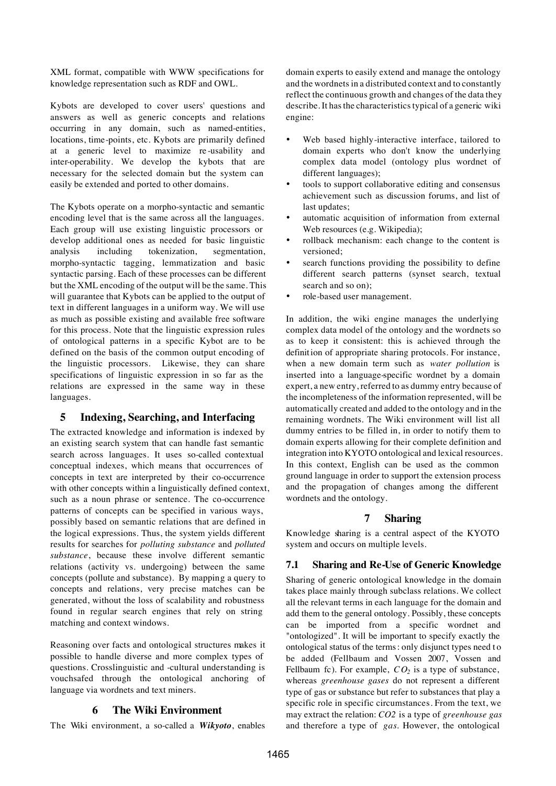XML format, compatible with WWW specifications for knowledge representation such as RDF and OWL.

Kybots are developed to cover users' questions and answers as well as generic concepts and relations occurring in any domain, such as named-entities, locations, time-points, etc. Kybots are primarily defined at a generic level to maximize re -usability and inter-operability. We develop the kybots that are necessary for the selected domain but the system can easily be extended and ported to other domains.

The Kybots operate on a morpho-syntactic and semantic encoding level that is the same across all the languages. Each group will use existing linguistic processors or develop additional ones as needed for basic linguistic analysis including tokenization, segmentation, morpho-syntactic tagging, lemmatization and basic syntactic parsing. Each of these processes can be different but the XML encoding of the output will be the same. This will guarantee that Kybots can be applied to the output of text in different languages in a uniform way. We will use as much as possible existing and available free software for this process. Note that the linguistic expression rules of ontological patterns in a specific Kybot are to be defined on the basis of the common output encoding of the linguistic processors. Likewise, they can share specifications of linguistic expression in so far as the relations are expressed in the same way in these languages.

## **5 Indexing, Searching, and Interfacing**

The extracted knowledge and information is indexed by an existing search system that can handle fast semantic search across languages. It uses so-called contextual conceptual indexes, which means that occurrences of concepts in text are interpreted by their co-occurrence with other concepts within a linguistically defined context, such as a noun phrase or sentence. The co-occurrence patterns of concepts can be specified in various ways, possibly based on semantic relations that are defined in the logical expressions. Thus, the system yields different results for searches for *polluting substance* and *polluted substance*, because these involve different semantic relations (activity vs. undergoing) between the same concepts (pollute and substance). By mapping a query to concepts and relations, very precise matches can be generated, without the loss of scalability and robustness found in regular search engines that rely on string matching and context windows.

Reasoning over facts and ontological structures makes it possible to handle diverse and more complex types of questions. Crosslinguistic and -cultural understanding is vouchsafed through the ontological anchoring of language via wordnets and text miners.

## **6 The Wiki Environment**

The Wiki environment, a so-called a *Wikyoto*, enables

domain experts to easily extend and manage the ontology and the wordnets in a distributed context and to constantly reflect the continuous growth and changes of the data they describe. It has the characteristics typical of a generic wiki engine:

- Web based highly-interactive interface, tailored to domain experts who don't know the underlying complex data model (ontology plus wordnet of different languages);
- tools to support collaborative editing and consensus achievement such as discussion forums, and list of last updates;
- automatic acquisition of information from external Web resources (e.g. Wikipedia);
- rollback mechanism: each change to the content is versioned;
- search functions providing the possibility to define different search patterns (synset search, textual search and so on);
- role-based user management.

In addition, the wiki engine manages the underlying complex data model of the ontology and the wordnets so as to keep it consistent: this is achieved through the definition of appropriate sharing protocols. For instance, when a new domain term such as *water pollution* is inserted into a language-specific wordnet by a domain expert, a new entry, referred to as dummy entry because of the incompleteness of the information represented, will be automatically created and added to the ontology and in the remaining wordnets. The Wiki environment will list all dummy entries to be filled in, in order to notify them to domain experts allowing for their complete definition and integration into KYOTO ontological and lexical resources. In this context, English can be used as the common ground language in order to support the extension process and the propagation of changes among the different wordnets and the ontology.

## **7 Sharing**

Knowledge sharing is a central aspect of the KYOTO system and occurs on multiple levels.

## **7.1 Sharing and Re-Use of Generic Knowledge**

Sharing of generic ontological knowledge in the domain takes place mainly through subclass relations. We collect all the relevant terms in each language for the domain and add them to the general ontology. Possibly, these concepts can be imported from a specific wordnet and "ontologized". It will be important to specify exactly the ontological status of the terms: only disjunct types need t o be added (Fellbaum and Vossen 2007, Vossen and Fellbaum fc). For example,  $CO<sub>2</sub>$  is a type of substance, whereas *greenhouse gases* do not represent a different type of gas or substance but refer to substances that play a specific role in specific circumstances. From the text, we may extract the relation: *CO2* is a type of *greenhouse gas* and therefore a type of *gas*. However, the ontological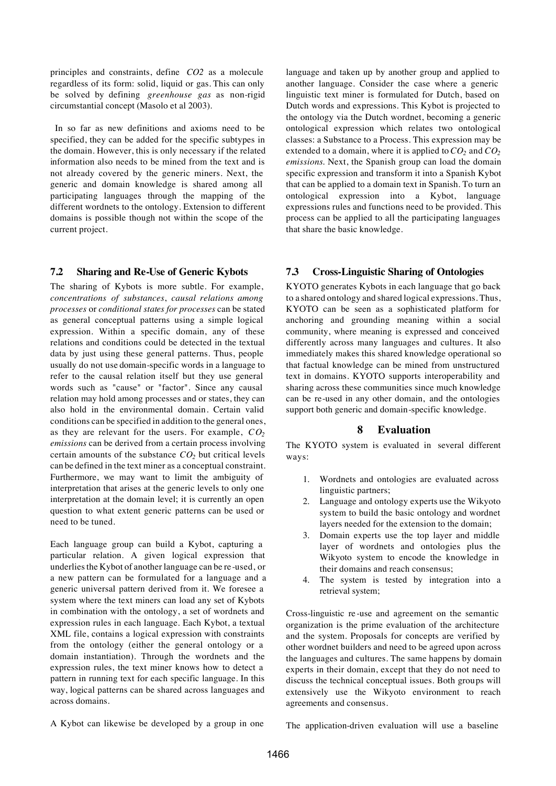principles and constraints, define *CO2* as a molecule regardless of its form: solid, liquid or gas. This can only be solved by defining *greenhouse gas* as non-rigid circumstantial concept (Masolo et al 2003).

 In so far as new definitions and axioms need to be specified, they can be added for the specific subtypes in the domain. However, this is only necessary if the related information also needs to be mined from the text and is not already covered by the generic miners. Next, the generic and domain knowledge is shared among all participating languages through the mapping of the different wordnets to the ontology. Extension to different domains is possible though not within the scope of the current project.

#### **7.2 Sharing and Re-Use of Generic Kybots**

The sharing of Kybots is more subtle. For example, *concentrations of substances*, *causal relations among processes* or *conditional states for processes* can be stated as general conceptual patterns using a simple logical expression. Within a specific domain, any of these relations and conditions could be detected in the textual data by just using these general patterns. Thus, people usually do not use domain-specific words in a language to refer to the causal relation itself but they use general words such as "cause" or "factor". Since any causal relation may hold among processes and or states, they can also hold in the environmental domain. Certain valid conditions can be specified in addition to the general ones, as they are relevant for the users. For example,  $CO<sub>2</sub>$ *emissions* can be derived from a certain process involving certain amounts of the substance  $CO<sub>2</sub>$  but critical levels can be defined in the text miner as a conceptual constraint. Furthermore, we may want to limit the ambiguity of interpretation that arises at the generic levels to only one interpretation at the domain level; it is currently an open question to what extent generic patterns can be used or need to be tuned.

Each language group can build a Kybot, capturing a particular relation. A given logical expression that underlies the Kybot of another language can be re-used, or a new pattern can be formulated for a language and a generic universal pattern derived from it. We foresee a system where the text miners can load any set of Kybots in combination with the ontology, a set of wordnets and expression rules in each language. Each Kybot, a textual XML file, contains a logical expression with constraints from the ontology (either the general ontology or a domain instantiation). Through the wordnets and the expression rules, the text miner knows how to detect a pattern in running text for each specific language. In this way, logical patterns can be shared across languages and across domains.

language and taken up by another group and applied to another language. Consider the case where a generic linguistic text miner is formulated for Dutch, based on Dutch words and expressions. This Kybot is projected to the ontology via the Dutch wordnet, becoming a generic ontological expression which relates two ontological classes: a Substance to a Process. This expression may be extended to a domain, where it is applied to *CO2* and *CO2 emissions*. Next, the Spanish group can load the domain specific expression and transform it into a Spanish Kybot that can be applied to a domain text in Spanish. To turn an ontological expression into a Kybot, language expressions rules and functions need to be provided. This process can be applied to all the participating languages that share the basic knowledge.

#### **7.3 Cross-Linguistic Sharing of Ontologies**

KYOTO generates Kybots in each language that go back to a shared ontology and shared logical expressions. Thus, KYOTO can be seen as a sophisticated platform for anchoring and grounding meaning within a social community, where meaning is expressed and conceived differently across many languages and cultures. It also immediately makes this shared knowledge operational so that factual knowledge can be mined from unstructured text in domains. KYOTO supports interoperability and sharing across these communities since much knowledge can be re-used in any other domain, and the ontologies support both generic and domain-specific knowledge.

#### **8 Evaluation**

The KYOTO system is evaluated in several different ways:

- 1. Wordnets and ontologies are evaluated across linguistic partners;
- 2. Language and ontology experts use the Wikyoto system to build the basic ontology and wordnet layers needed for the extension to the domain;
- 3. Domain experts use the top layer and middle layer of wordnets and ontologies plus the Wikyoto system to encode the knowledge in their domains and reach consensus;
- 4. The system is tested by integration into a retrieval system;

Cross-linguistic re -use and agreement on the semantic organization is the prime evaluation of the architecture and the system. Proposals for concepts are verified by other wordnet builders and need to be agreed upon across the languages and cultures. The same happens by domain experts in their domain, except that they do not need to discuss the technical conceptual issues. Both groups will extensively use the Wikyoto environment to reach agreements and consensus.

A Kybot can likewise be developed by a group in one

The application-driven evaluation will use a baseline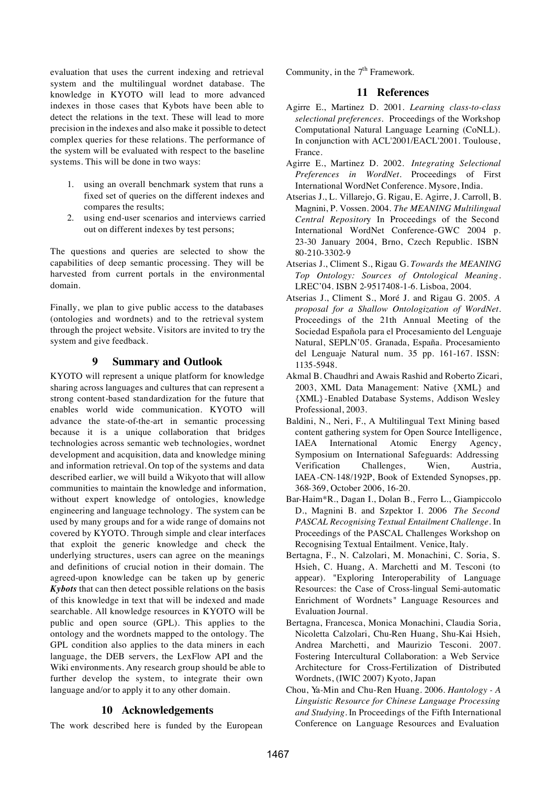evaluation that uses the current indexing and retrieval system and the multilingual wordnet database. The knowledge in KYOTO will lead to more advanced indexes in those cases that Kybots have been able to detect the relations in the text. These will lead to more precision in the indexes and also make it possible to detect complex queries for these relations. The performance of the system will be evaluated with respect to the baseline systems. This will be done in two ways:

- 1. using an overall benchmark system that runs a fixed set of queries on the different indexes and compares the results;
- 2. using end-user scenarios and interviews carried out on different indexes by test persons;

The questions and queries are selected to show the capabilities of deep semantic processing. They will be harvested from current portals in the environmental domain.

Finally, we plan to give public access to the databases (ontologies and wordnets) and to the retrieval system through the project website. Visitors are invited to try the system and give feedback.

## **9 Summary and Outlook**

KYOTO will represent a unique platform for knowledge sharing across languages and cultures that can represent a strong content-based standardization for the future that enables world wide communication. KYOTO will advance the state-of-the-art in semantic processing because it is a unique collaboration that bridges technologies across semantic web technologies, wordnet development and acquisition, data and knowledge mining and information retrieval. On top of the systems and data described earlier, we will build a Wikyoto that will allow communities to maintain the knowledge and information, without expert knowledge of ontologies, knowledge engineering and language technology. The system can be used by many groups and for a wide range of domains not covered by KYOTO. Through simple and clear interfaces that exploit the generic knowledge and check the underlying structures, users can agree on the meanings and definitions of crucial notion in their domain. The agreed-upon knowledge can be taken up by generic *Kybots* that can then detect possible relations on the basis of this knowledge in text that will be indexed and made searchable. All knowledge resources in KYOTO will be public and open source (GPL). This applies to the ontology and the wordnets mapped to the ontology. The GPL condition also applies to the data miners in each language, the DEB servers, the LexFlow API and the Wiki environments. Any research group should be able to further develop the system, to integrate their own language and/or to apply it to any other domain.

### **10 Acknowledgements**

The work described here is funded by the European

Community, in the  $7<sup>th</sup>$  Framework.

### **11 References**

- Agirre E., Martinez D. 2001. *Learning class-to-class selectional preferences.* Proceedings of the Workshop Computational Natural Language Learning (CoNLL). In conjunction with ACL'2001/EACL'2001. Toulouse, France.
- Agirre E., Martinez D. 2002. *Integrating Selectional Preferences in WordNet.* Proceedings of First International WordNet Conference. Mysore, India.
- Atserias J., L. Villarejo, G. Rigau, E. Agirre, J. Carroll, B. Magnini, P. Vossen. 2004. *The MEANING Multilingual Central Repositor*y In Proceedings of the Second International WordNet Conference-GWC 2004 p. 23-30 January 2004, Brno, Czech Republic. ISBN 80-210-3302-9
- Atserias J., Climent S., Rigau G. *Towards the MEANING Top Ontology: Sources of Ontological Meaning.* LREC'04. ISBN 2-9517408-1-6. Lisboa, 2004.
- Atserias J., Climent S., Moré J. and Rigau G. 2005. *A proposal for a Shallow Ontologization of WordNet*. Proceedings of the 21th Annual Meeting of the Sociedad Española para el Procesamiento del Lenguaje Natural, SEPLN'05. Granada, España. Procesamiento del Lenguaje Natural num. 35 pp. 161-167. ISSN: 1135-5948.
- Akmal B. Chaudhri and Awais Rashid and Roberto Zicari, 2003, XML Data Management: Native {XML} and {XML} -Enabled Database Systems, Addison Wesley Professional, 2003.
- Baldini, N., Neri, F., A Multilingual Text Mining based content gathering system for Open Source Intelligence, IAEA International Atomic Energy Agency, Symposium on International Safeguards: Addressing Verification Challenges, Wien, Austria, IAEA-CN-148/192P, Book of Extended Synopses, pp. 368-369, October 2006, 16-20.
- Bar-Haim\*R., Dagan I., Dolan B., Ferro L., Giampiccolo D., Magnini B. and Szpektor I. 2006 *The Second PASCAL Recognising Textual Entailment Challenge.* In Proceedings of the PASCAL Challenges Workshop on Recognising Textual Entailment. Venice, Italy.
- Bertagna, F., N. Calzolari, M. Monachini, C. Soria, S. Hsieh, C. Huang, A. Marchetti and M. Tesconi (to appear). "Exploring Interoperability of Language Resources: the Case of Cross-lingual Semi-automatic Enrichment of Wordnets" Language Resources and Evaluation Journal.
- Bertagna, Francesca, Monica Monachini, Claudia Soria, Nicoletta Calzolari, Chu-Ren Huang, Shu-Kai Hsieh, Andrea Marchetti, and Maurizio Tesconi. 2007. Fostering Intercultural Collaboration: a Web Service Architecture for Cross-Fertilization of Distributed Wordnets, (IWIC 2007) Kyoto, Japan
- Chou, Ya-Min and Chu-Ren Huang. 2006. *Hantology - A Linguistic Resource for Chinese Language Processing and Studying.* In Proceedings of the Fifth International Conference on Language Resources and Evaluation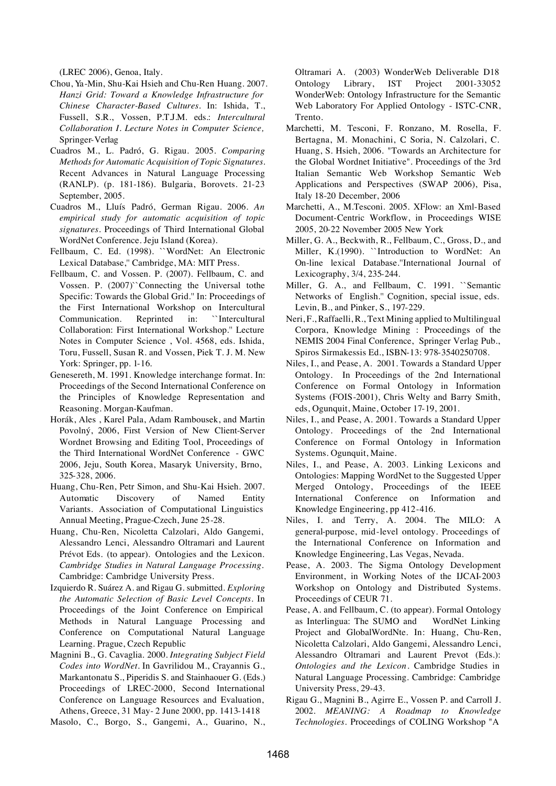(LREC 2006), Genoa, Italy.

- Chou, Ya-Min, Shu-Kai Hsieh and Chu-Ren Huang. 2007. *Hanzi Grid: Toward a Knowledge Infrastructure for Chinese Character-Based Cultures.* In: Ishida, T., Fussell, S.R., Vossen, P.T.J.M. eds.: *Intercultural Collaboration I. Lecture Notes in Computer Science,*  Springer-Verlag
- Cuadros M., L. Padró, G. Rigau. 2005. *Comparing Methods for Automatic Acquisition of Topic Signatures*. Recent Advances in Natural Language Processing (RANLP). (p. 181-186). Bulgaria, Borovets. 21-23 September, 2005.
- Cuadros M., Lluís Padró, German Rigau. 2006. *An empirical study for automatic acquisition of topic signatures*. Proceedings of Third International Global WordNet Conference. Jeju Island (Korea).
- Fellbaum, C. Ed. (1998). ``WordNet: An Electronic Lexical Database,'' Cambridge, MA: MIT Press.
- Fellbaum, C. and Vossen. P. (2007). Fellbaum, C. and Vossen. P. (2007)``Connecting the Universal tothe Specific: Towards the Global Grid.'' In: Proceedings of the First International Workshop on Intercultural Communication. Reprinted in: ``Intercultural Collaboration: First International Workshop.'' Lecture Notes in Computer Science , Vol. 4568, eds. Ishida, Toru, Fussell, Susan R. and Vossen, Piek T. J. M. New York: Springer, pp. 1-16.
- Genesereth, M. 1991. Knowledge interchange format. In: Proceedings of the Second International Conference on the Principles of Knowledge Representation and Reasoning. Morgan-Kaufman.
- Horák, Ales , Karel Pala, Adam Rambousek, and Martin Povolný, 2006, First Version of New Client-Server Wordnet Browsing and Editing Tool, Proceedings of the Third International WordNet Conference - GWC 2006, Jeju, South Korea, Masaryk University, Brno, 325-328, 2006.
- Huang, Chu-Ren, Petr Simon, and Shu-Kai Hsieh. 2007. Automatic Discovery of Named Entity Variants. Association of Computational Linguistics Annual Meeting, Prague-Czech, June 25-28.
- Huang, Chu-Ren, Nicoletta Calzolari, Aldo Gangemi, Alessandro Lenci, Alessandro Oltramari and Laurent Prévot Eds. (to appear). Ontologies and the Lexicon. *Cambridge Studies in Natural Language Processing.*  Cambridge: Cambridge University Press.
- Izquierdo R. Suárez A. and Rigau G. submitted. *Exploring the Automatic Selection of Basic Level Concepts*. In Proceedings of the Joint Conference on Empirical Methods in Natural Language Processing and Conference on Computational Natural Language Learning. Prague, Czech Republic
- Magnini B., G. Cavaglia. 2000. *Integrating Subject Field Codes into WordNet.* In Gavrilidou M., Crayannis G., Markantonatu S., Piperidis S. and Stainhaouer G. (Eds.) Proceedings of LREC-2000, Second International Conference on Language Resources and Evaluation, Athens, Greece, 31 May- 2 June 2000, pp. 1413-1418

Masolo, C., Borgo, S., Gangemi, A., Guarino, N.,

Oltramari A. (2003) WonderWeb Deliverable D18 Ontology Library, IST Project 2001-33052 WonderWeb: Ontology Infrastructure for the Semantic Web Laboratory For Applied Ontology - ISTC-CNR, Trento.

- Marchetti, M. Tesconi, F. Ronzano, M. Rosella, F. Bertagna, M. Monachini, C. Soria, N. Calzolari, C. Huang, S. Hsieh, 2006. "Towards an Architecture for the Global Wordnet Initiative". Proceedings of the 3rd Italian Semantic Web Workshop Semantic Web Applications and Perspectives (SWAP 2006), Pisa, Italy 18-20 December, 2006
- Marchetti, A., M.Tesconi. 2005. XFlow: an Xml-Based Document-Centric Workflow, in Proceedings WISE 2005, 20-22 November 2005 New York
- Miller, G. A., Beckwith, R., Fellbaum, C., Gross, D., and Miller, K.(1990). ``Introduction to WordNet: An On-line lexical Database.''International Journal of Lexicography, 3/4, 235-244.
- Miller, G. A., and Fellbaum, C. 1991. ``Semantic Networks of English.'' Cognition, special issue, eds. Levin, B., and Pinker, S., 197-229.
- Neri, F., Raffaelli, R., Text Mining applied to Multilingual Corpora, Knowledge Mining : Proceedings of the NEMIS 2004 Final Conference, Springer Verlag Pub., Spiros Sirmakessis Ed., ISBN-13: 978-3540250708.
- Niles, I., and Pease, A. 2001. Towards a Standard Upper Ontology. In Proceedings of the 2nd International Conference on Formal Ontology in Information Systems (FOIS-2001), Chris Welty and Barry Smith, eds, Ogunquit, Maine, October 17-19, 2001.
- Niles, I., and Pease, A. 2001. Towards a Standard Upper Ontology. Proceedings of the 2nd International Conference on Formal Ontology in Information Systems. Ogunquit, Maine.
- Niles, I., and Pease, A. 2003. Linking Lexicons and Ontologies: Mapping WordNet to the Suggested Upper Merged Ontology, Proceedings of the IEEE International Conference on Information and Knowledge Engineering, pp 412-416.
- Niles, I. and Terry, A. 2004. The MILO: A general-purpose, mid-level ontology. Proceedings of the International Conference on Information and Knowledge Engineering, Las Vegas, Nevada.
- Pease, A. 2003. The Sigma Ontology Development Environment, in Working Notes of the IJCAI-2003 Workshop on Ontology and Distributed Systems. Proceedings of CEUR 71.
- Pease, A. and Fellbaum, C. (to appear). Formal Ontology as Interlingua: The SUMO and WordNet Linking Project and GlobalWordNte. In: Huang, Chu-Ren, Nicoletta Calzolari, Aldo Gangemi, Alessandro Lenci, Alessandro Oltramari and Laurent Prevot (Eds.): *Ontologies and the Lexicon*. Cambridge Studies in Natural Language Processing. Cambridge: Cambridge University Press, 29-43.
- Rigau G., Magnini B., Agirre E., Vossen P. and Carroll J. 2002. *MEANING: A Roadmap to Knowledge Technologies.* Proceedings of COLING Workshop "A